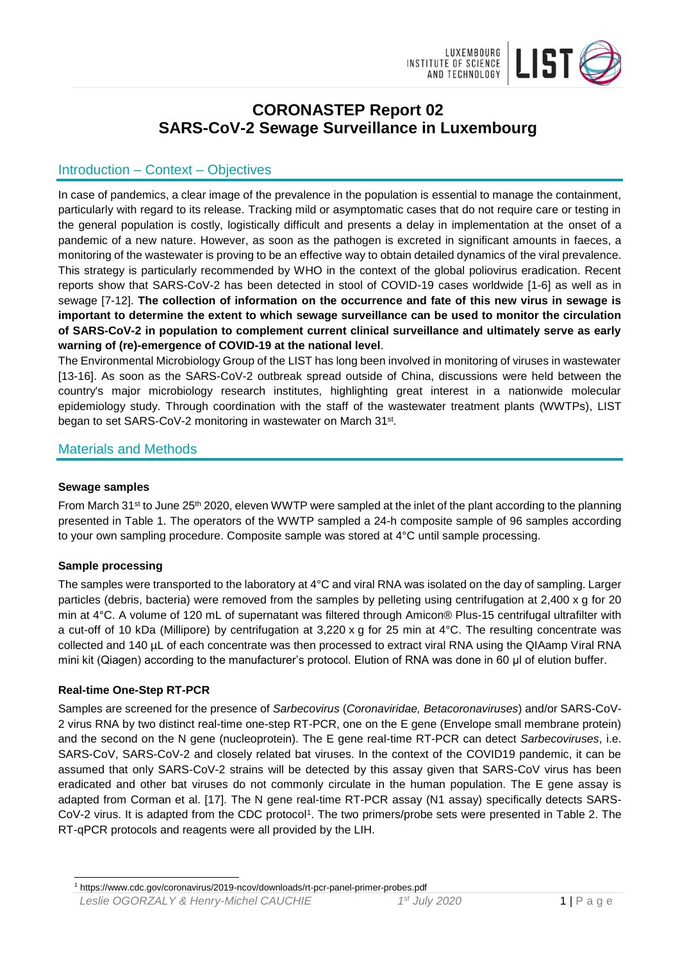

# **CORONASTEP Report 02 SARS-CoV-2 Sewage Surveillance in Luxembourg**

## Introduction – Context – Objectives

In case of pandemics, a clear image of the prevalence in the population is essential to manage the containment, particularly with regard to its release. Tracking mild or asymptomatic cases that do not require care or testing in the general population is costly, logistically difficult and presents a delay in implementation at the onset of a pandemic of a new nature. However, as soon as the pathogen is excreted in significant amounts in faeces, a monitoring of the wastewater is proving to be an effective way to obtain detailed dynamics of the viral prevalence. This strategy is particularly recommended by WHO in the context of the global poliovirus eradication. Recent reports show that SARS-CoV-2 has been detected in stool of COVID-19 cases worldwide [1-6] as well as in sewage [7-12]. **The collection of information on the occurrence and fate of this new virus in sewage is important to determine the extent to which sewage surveillance can be used to monitor the circulation of SARS-CoV-2 in population to complement current clinical surveillance and ultimately serve as early warning of (re)-emergence of COVID-19 at the national level**.

The Environmental Microbiology Group of the LIST has long been involved in monitoring of viruses in wastewater [13-16]. As soon as the SARS-CoV-2 outbreak spread outside of China, discussions were held between the country's major microbiology research institutes, highlighting great interest in a nationwide molecular epidemiology study. Through coordination with the staff of the wastewater treatment plants (WWTPs), LIST began to set SARS-CoV-2 monitoring in wastewater on March 31<sup>st</sup>.

### Materials and Methods

#### **Sewage samples**

From March 31<sup>st</sup> to June 25<sup>th</sup> 2020, eleven WWTP were sampled at the inlet of the plant according to the planning presented in Table 1. The operators of the WWTP sampled a 24-h composite sample of 96 samples according to your own sampling procedure. Composite sample was stored at 4°C until sample processing.

### **Sample processing**

The samples were transported to the laboratory at 4°C and viral RNA was isolated on the day of sampling. Larger particles (debris, bacteria) were removed from the samples by pelleting using centrifugation at 2,400 x g for 20 min at 4°C. A volume of 120 mL of supernatant was filtered through Amicon® Plus-15 centrifugal ultrafilter with a cut-off of 10 kDa (Millipore) by centrifugation at 3,220 x g for 25 min at 4°C. The resulting concentrate was collected and 140 µL of each concentrate was then processed to extract viral RNA using the QIAamp Viral RNA mini kit (Qiagen) according to the manufacturer's protocol. Elution of RNA was done in 60 μl of elution buffer.

#### **Real-time One-Step RT-PCR**

Samples are screened for the presence of *Sarbecovirus* (*Coronaviridae, Betacoronaviruses*) and/or SARS-CoV-2 virus RNA by two distinct real-time one-step RT-PCR, one on the E gene (Envelope small membrane protein) and the second on the N gene (nucleoprotein). The E gene real-time RT-PCR can detect *Sarbecoviruses*, i.e. SARS-CoV, SARS-CoV-2 and closely related bat viruses. In the context of the COVID19 pandemic, it can be assumed that only SARS-CoV-2 strains will be detected by this assay given that SARS-CoV virus has been eradicated and other bat viruses do not commonly circulate in the human population. The E gene assay is adapted from Corman et al. [17]. The N gene real-time RT-PCR assay (N1 assay) specifically detects SARS-CoV-2 virus. It is adapted from the CDC protocol<sup>1</sup>. The two primers/probe sets were presented in Table 2. The RT-qPCR protocols and reagents were all provided by the LIH.

l <sup>1</sup> https://www.cdc.gov/coronavirus/2019-ncov/downloads/rt-pcr-panel-primer-probes.pdf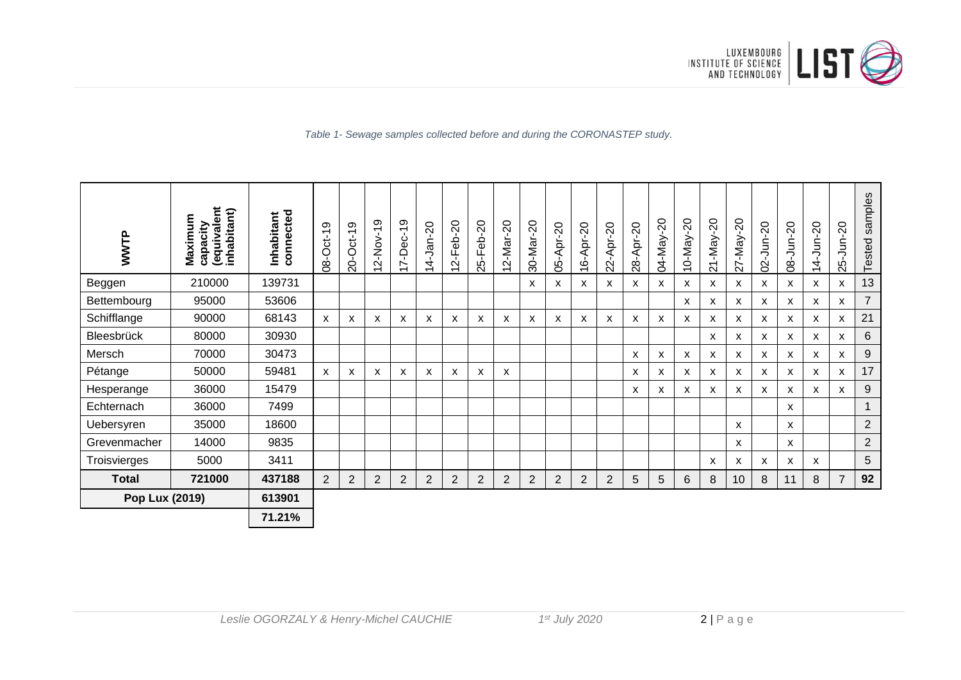

*Table 1- Sewage samples collected before and during the CORONASTEP study.*

| WWTP                  | (equivalent<br>inhabitant)<br>Maximum<br>capacity | connected<br>Inhabitant | တ<br>08-Oct-1  | တ<br>$20-Ort-1$ | $\frac{9}{1}$<br>、<br>No<br>1<br>$\sim$<br>$\overline{\phantom{0}}$ | $-Dec-19$<br>$\overline{\phantom{0}}$<br>$\overline{\phantom{0}}$ | $-$ Jan-20<br>$\vec{r}$<br>$\overline{\phantom{0}}$ | $-Feb-20$<br>$\mathbf{\Omega}$<br>$\overline{\phantom{0}}$ | 5-Feb-20<br>$\sim$ | $-Mar-20$<br>$\sim$<br>$\overline{\phantom{0}}$ | 30-Mar-20      | 05-Apr-20      | $-$ Apr-20<br>Ó<br>$\overline{\phantom{0}}$ | $-$ Apr-20<br>22. | $-$ Apr-20<br>8 | 04-May-20 | $0 - May - 20$<br>$\overline{\phantom{0}}$ | $-20$<br>1-May-<br>$\sim$ | $27 - May - 20$ | $-$ Jun-20<br>$\dot{\mathcal{S}}$ | $-30 - 20$<br>80 | $-$ Jun $-20$<br>4<br>$\overline{\phantom{0}}$ | $-$ Jun $-20$<br>25 | samples<br>Tested |
|-----------------------|---------------------------------------------------|-------------------------|----------------|-----------------|---------------------------------------------------------------------|-------------------------------------------------------------------|-----------------------------------------------------|------------------------------------------------------------|--------------------|-------------------------------------------------|----------------|----------------|---------------------------------------------|-------------------|-----------------|-----------|--------------------------------------------|---------------------------|-----------------|-----------------------------------|------------------|------------------------------------------------|---------------------|-------------------|
| Beggen                | 210000                                            | 139731                  |                |                 |                                                                     |                                                                   |                                                     |                                                            |                    |                                                 | X              | х              | x                                           | X                 | X               | х         | х                                          | x                         | X               | x                                 | X                | X                                              | X                   | 13                |
| Bettembourg           | 95000                                             | 53606                   |                |                 |                                                                     |                                                                   |                                                     |                                                            |                    |                                                 |                |                |                                             |                   |                 |           | х                                          | x                         | X               | x                                 | x                | x                                              | x                   | $\overline{7}$    |
| Schifflange           | 90000                                             | 68143                   | X              | X               | x                                                                   | X                                                                 | X                                                   | x                                                          | X                  | X                                               | X              | X              | X                                           | X                 | X               | X         | X                                          | x                         | X               | X                                 | X                | X                                              | x                   | 21                |
| Bleesbrück            | 80000                                             | 30930                   |                |                 |                                                                     |                                                                   |                                                     |                                                            |                    |                                                 |                |                |                                             |                   |                 |           |                                            | X                         | X               | х                                 | X                | X                                              | х                   | 6                 |
| Mersch                | 70000                                             | 30473                   |                |                 |                                                                     |                                                                   |                                                     |                                                            |                    |                                                 |                |                |                                             |                   | X               | X         | $\mathsf{x}$                               | X                         | X               | X                                 | X                | X                                              | X                   | $9\,$             |
| Pétange               | 50000                                             | 59481                   | X              | X               | X                                                                   | X                                                                 | X                                                   | X                                                          | X                  | X                                               |                |                |                                             |                   | X               | X         | X                                          | X                         | $\mathsf{x}$    | X                                 | $\mathsf{x}$     | X                                              | X                   | 17                |
| Hesperange            | 36000                                             | 15479                   |                |                 |                                                                     |                                                                   |                                                     |                                                            |                    |                                                 |                |                |                                             |                   | X               | X         | х                                          | x                         | X               | х                                 | X                | X                                              | X                   | $\boldsymbol{9}$  |
| Echternach            | 36000                                             | 7499                    |                |                 |                                                                     |                                                                   |                                                     |                                                            |                    |                                                 |                |                |                                             |                   |                 |           |                                            |                           |                 |                                   | X                |                                                |                     | $\mathbf 1$       |
| Uebersyren            | 35000                                             | 18600                   |                |                 |                                                                     |                                                                   |                                                     |                                                            |                    |                                                 |                |                |                                             |                   |                 |           |                                            |                           | X               |                                   | X                |                                                |                     | $\overline{2}$    |
| Grevenmacher          | 14000                                             | 9835                    |                |                 |                                                                     |                                                                   |                                                     |                                                            |                    |                                                 |                |                |                                             |                   |                 |           |                                            |                           | X               |                                   | X                |                                                |                     | $\overline{2}$    |
| Troisvierges          | 5000                                              | 3411                    |                |                 |                                                                     |                                                                   |                                                     |                                                            |                    |                                                 |                |                |                                             |                   |                 |           |                                            | x                         | X               | х                                 | X                | X                                              |                     | 5                 |
| <b>Total</b>          | 721000                                            | 437188                  | $\overline{2}$ | $\overline{2}$  | $\overline{2}$                                                      | $\overline{2}$                                                    | $\overline{2}$                                      | $\overline{2}$                                             | $\overline{2}$     | $\overline{2}$                                  | $\overline{2}$ | $\overline{2}$ | $\overline{2}$                              | $\overline{2}$    | 5               | 5         | $6\phantom{1}$                             | 8                         | 10              | 8                                 | 11               | 8                                              | $\overline{7}$      | 92                |
| <b>Pop Lux (2019)</b> |                                                   | 613901                  |                |                 |                                                                     |                                                                   |                                                     |                                                            |                    |                                                 |                |                |                                             |                   |                 |           |                                            |                           |                 |                                   |                  |                                                |                     |                   |
|                       | 71.21%                                            |                         |                |                 |                                                                     |                                                                   |                                                     |                                                            |                    |                                                 |                |                |                                             |                   |                 |           |                                            |                           |                 |                                   |                  |                                                |                     |                   |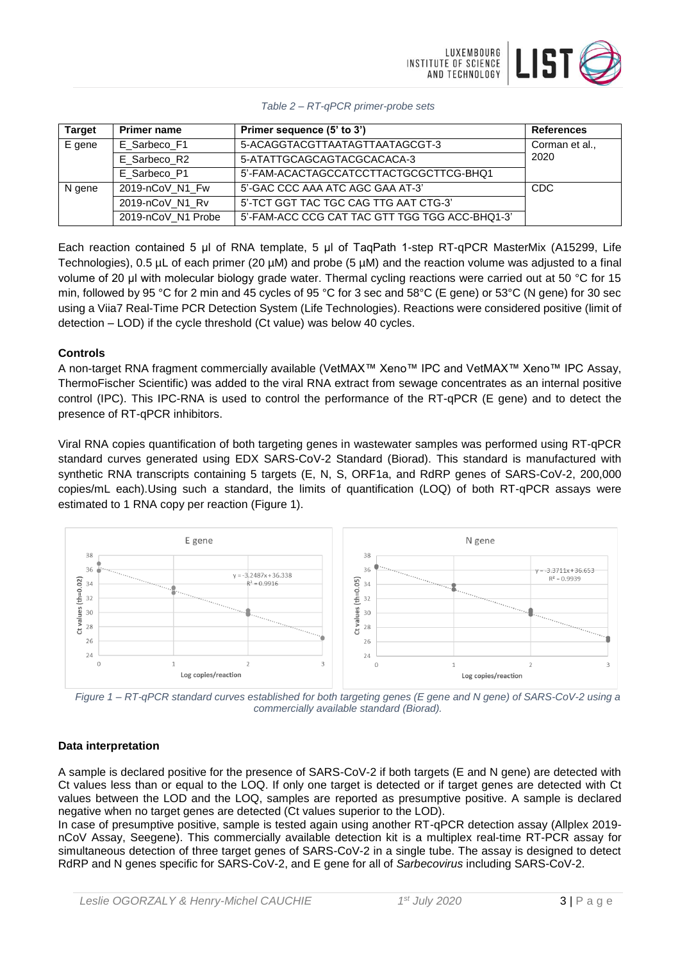

| <b>Target</b> | <b>Primer name</b> | Primer sequence (5' to 3')                     | <b>References</b> |
|---------------|--------------------|------------------------------------------------|-------------------|
| E gene        | E_Sarbeco_F1       | 5-ACAGGTACGTTAATAGTTAATAGCGT-3                 | Corman et al.,    |
|               | E Sarbeco R2       | 5-ATATTGCAGCAGTACGCACACA-3                     | 2020              |
|               | E Sarbeco P1       | 5'-FAM-ACACTAGCCATCCTTACTGCGCTTCG-BHQ1         |                   |
| N gene        | 2019-nCoV_N1_Fw    | 5'-GAC CCC AAA ATC AGC GAA AT-3'               | <b>CDC</b>        |
|               | 2019-nCoV_N1_Rv    | 5'-TCT GGT TAC TGC CAG TTG AAT CTG-3'          |                   |
|               | 2019-nCoV_N1 Probe | 5'-FAM-ACC CCG CAT TAC GTT TGG TGG ACC-BHQ1-3' |                   |

Each reaction contained 5 μl of RNA template, 5 μl of TaqPath 1-step RT-qPCR MasterMix (A15299, Life Technologies), 0.5 µL of each primer (20 µM) and probe (5 µM) and the reaction volume was adjusted to a final volume of 20 μl with molecular biology grade water. Thermal cycling reactions were carried out at 50 °C for 15 min, followed by 95 °C for 2 min and 45 cycles of 95 °C for 3 sec and 58°C (E gene) or 53°C (N gene) for 30 sec using a Viia7 Real-Time PCR Detection System (Life Technologies). Reactions were considered positive (limit of detection – LOD) if the cycle threshold (Ct value) was below 40 cycles.

#### **Controls**

A non-target RNA fragment commercially available (VetMAX™ Xeno™ IPC and VetMAX™ Xeno™ IPC Assay, ThermoFischer Scientific) was added to the viral RNA extract from sewage concentrates as an internal positive control (IPC). This IPC-RNA is used to control the performance of the RT-qPCR (E gene) and to detect the presence of RT-qPCR inhibitors.

Viral RNA copies quantification of both targeting genes in wastewater samples was performed using RT-qPCR standard curves generated using EDX SARS-CoV-2 Standard (Biorad). This standard is manufactured with synthetic RNA transcripts containing 5 targets (E, N, S, ORF1a, and RdRP genes of SARS-CoV-2, 200,000 copies/mL each).Using such a standard, the limits of quantification (LOQ) of both RT-qPCR assays were estimated to 1 RNA copy per reaction (Figure 1).



*Figure 1 – RT-qPCR standard curves established for both targeting genes (E gene and N gene) of SARS-CoV-2 using a commercially available standard (Biorad).*

### **Data interpretation**

A sample is declared positive for the presence of SARS-CoV-2 if both targets (E and N gene) are detected with Ct values less than or equal to the LOQ. If only one target is detected or if target genes are detected with Ct values between the LOD and the LOQ, samples are reported as presumptive positive. A sample is declared negative when no target genes are detected (Ct values superior to the LOD).

In case of presumptive positive, sample is tested again using another RT-qPCR detection assay (Allplex 2019 nCoV Assay, Seegene). This commercially available detection kit is a multiplex real-time RT-PCR assay for simultaneous detection of three target genes of SARS-CoV-2 in a single tube. The assay is designed to detect RdRP and N genes specific for SARS-CoV-2, and E gene for all of *Sarbecovirus* including SARS-CoV-2.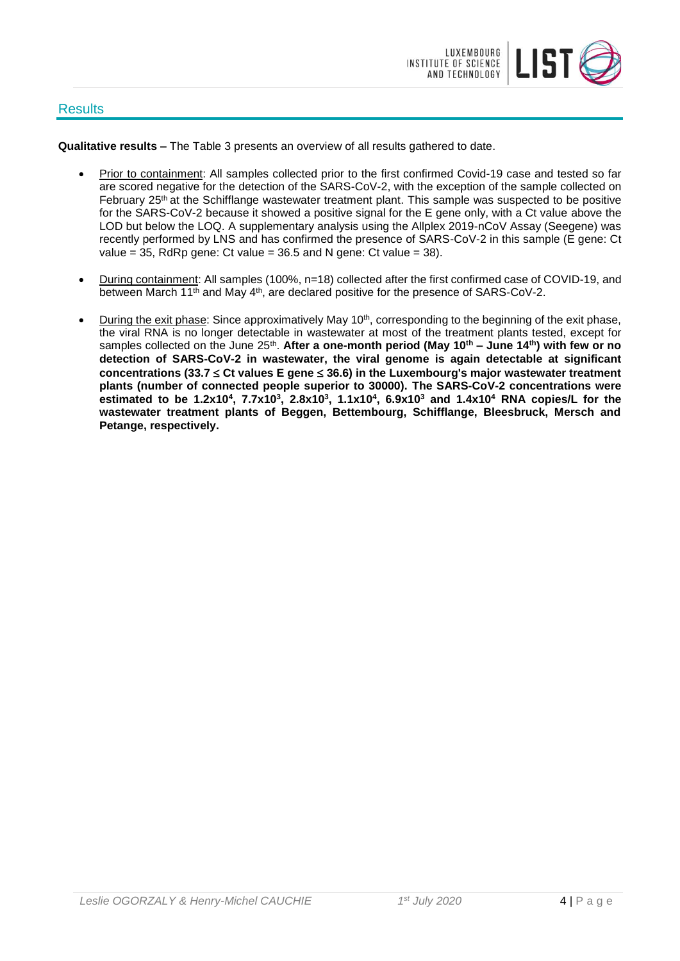### **Results**



**Qualitative results –** The Table 3 presents an overview of all results gathered to date.

- Prior to containment: All samples collected prior to the first confirmed Covid-19 case and tested so far are scored negative for the detection of the SARS-CoV-2, with the exception of the sample collected on February 25<sup>th</sup> at the Schifflange wastewater treatment plant. This sample was suspected to be positive for the SARS-CoV-2 because it showed a positive signal for the E gene only, with a Ct value above the LOD but below the LOQ. A supplementary analysis using the Allplex 2019-nCoV Assay (Seegene) was recently performed by LNS and has confirmed the presence of SARS-CoV-2 in this sample (E gene: Ct value  $= 35$ , RdRp gene: Ct value  $= 36.5$  and N gene: Ct value  $= 38$ ).
- During containment: All samples (100%, n=18) collected after the first confirmed case of COVID-19, and between March 11<sup>th</sup> and May 4<sup>th</sup>, are declared positive for the presence of SARS-CoV-2.
- During the exit phase: Since approximatively May 10<sup>th</sup>, corresponding to the beginning of the exit phase, the viral RNA is no longer detectable in wastewater at most of the treatment plants tested, except for samples collected on the June 25<sup>th</sup>. After a one-month period (May 10<sup>th</sup> – June 14<sup>th</sup>) with few or no **detection of SARS-CoV-2 in wastewater, the viral genome is again detectable at significant concentrations (33.7 Ct values E gene 36.6) in the Luxembourg's major wastewater treatment plants (number of connected people superior to 30000). The SARS-CoV-2 concentrations were estimated to be 1.2x10<sup>4</sup> , 7.7x10<sup>3</sup> , 2.8x10<sup>3</sup> , 1.1x10<sup>4</sup> , 6.9x10<sup>3</sup> and 1.4x10<sup>4</sup> RNA copies/L for the wastewater treatment plants of Beggen, Bettembourg, Schifflange, Bleesbruck, Mersch and Petange, respectively.**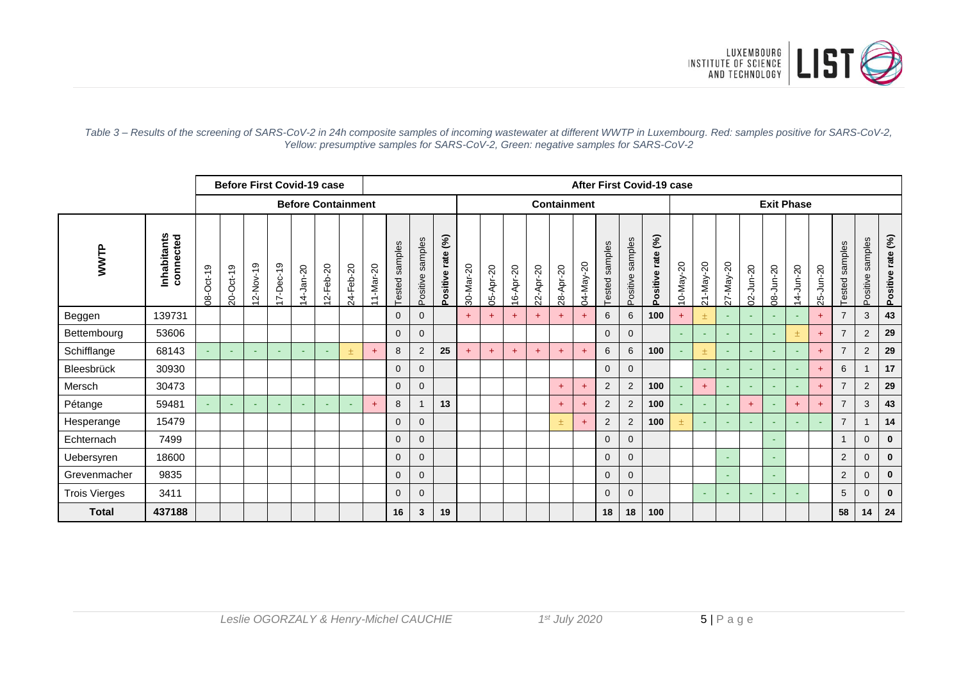

|                      |                           |           |           |                                        |                          | <b>Before First Covid-19 case</b> |                                        | After First Covid-19 case |                                                         |                   |                     |                                       |           |           |           |                        |                  |                |                   |                                      |                        |           |                 |           |           |           |                              |                     |                  |                     |                   |
|----------------------|---------------------------|-----------|-----------|----------------------------------------|--------------------------|-----------------------------------|----------------------------------------|---------------------------|---------------------------------------------------------|-------------------|---------------------|---------------------------------------|-----------|-----------|-----------|------------------------|------------------|----------------|-------------------|--------------------------------------|------------------------|-----------|-----------------|-----------|-----------|-----------|------------------------------|---------------------|------------------|---------------------|-------------------|
|                      | <b>Before Containment</b> |           |           |                                        |                          |                                   |                                        |                           |                                                         |                   | Containment         |                                       |           |           |           |                        |                  |                |                   | <b>Exit Phase</b>                    |                        |           |                 |           |           |           |                              |                     |                  |                     |                   |
| WWTP                 | Inhabitants<br>connected  | 08-Oct-19 | 20-Oct-19 | $2-Nov-19$<br>$\overline{\phantom{0}}$ | 17-Dec-19                | 14-Jan-20                         | $2-Feb-20$<br>$\overline{\phantom{0}}$ | 24-Feb-20                 | $-Mar-20$<br>$\overline{ }$<br>$\overline{\phantom{0}}$ | samples<br>Tested | samples<br>Positive | $\mathcal{E}$<br>rate<br>ositive<br>n | 30-Mar-20 | 05-Apr-20 | 16-Apr-20 | $-$ Apr-20<br>$\alpha$ | Apr-20<br>$28 -$ | $-May-20$<br>É | samples<br>Tested | samples<br>ositive<br>$\overline{0}$ | (5)<br>rate<br>ositive | 10-May-20 | $21 - May - 20$ | 27-May-20 | 02-Jun-20 | 08-Jun-20 | $-$ Jun-20<br>$\overline{4}$ | $-$ Jun $-20$<br>25 | samples<br>ested | samples<br>Positive | Positive rate (%) |
| Beggen               | 139731                    |           |           |                                        |                          |                                   |                                        |                           |                                                         | 0                 | $\Omega$            |                                       | $+$       | $+$       | $+$       | $+$                    | $+$              | $+$            | 6                 | 6                                    | 100                    | $+$       | $\pm$           | $\sim$    | $\sim$    | <b>.</b>  |                              | $+$                 | $\overline{7}$   | 3                   | 43                |
| Bettembourg          | 53606                     |           |           |                                        |                          |                                   |                                        |                           |                                                         | 0                 | $\mathbf 0$         |                                       |           |           |           |                        |                  |                | $\mathbf{0}$      | $\mathbf{0}$                         |                        | ÷         | $\sim$          | $\sim$    | $\sim$    | ٠         | 土                            | $\ddot{}$           | $\overline{7}$   | 2                   | 29                |
| Schifflange          | 68143                     | $\sim$    | $\sim$    | ч.                                     | ٠                        |                                   | ٠                                      |                           | $+$                                                     | 8                 | $\overline{2}$      | 25                                    | $+$       | $\ddot{}$ | $\ddot{}$ | $\ddot{}$              | $+$              | $\ddot{}$      | 6                 | 6                                    | 100                    |           | 土               | $\sim$    | $\sim$    | ٠         | ٠                            | $\ddot{}$           | $\overline{7}$   | 2                   | 29                |
| Bleesbrück           | 30930                     |           |           |                                        |                          |                                   |                                        |                           |                                                         | 0                 | $\overline{0}$      |                                       |           |           |           |                        |                  |                | $\mathbf{0}$      | $\mathbf{0}$                         |                        |           | $\sim$          | ٠         |           | ٠         |                              | $+$                 | 6                |                     | 17                |
| Mersch               | 30473                     |           |           |                                        |                          |                                   |                                        |                           |                                                         | $\overline{0}$    | $\overline{0}$      |                                       |           |           |           |                        | $+$              | $\ddot{}$      | 2                 | 2                                    | 100                    | ÷         | $+$             | $\sim$    | $\sim$    | <b>Co</b> |                              | $+$                 | $\overline{7}$   | 2                   | 29                |
| Pétange              | 59481                     |           | $\sim$    | ч.                                     | $\overline{\phantom{a}}$ | <b>.</b>                          | ÷                                      | <b>Co</b>                 | $+$                                                     | 8                 | 1                   | 13                                    |           |           |           |                        | $+$              | $\ddot{}$      | 2                 | 2                                    | 100                    | ٠         | $\sim$          | $\sim$    | $+$       | $\sim$    | $+$                          | $\ddot{}$           | $\overline{7}$   | 3                   | 43                |
| Hesperange           | 15479                     |           |           |                                        |                          |                                   |                                        |                           |                                                         | 0                 | $\mathbf 0$         |                                       |           |           |           |                        | 土                | $\ddot{}$      | $\overline{2}$    | 2                                    | 100                    | 土         | $\sim$          | ٠         | $\sim$    | ٠         |                              |                     | $\overline{7}$   |                     | 14                |
| Echternach           | 7499                      |           |           |                                        |                          |                                   |                                        |                           |                                                         | 0                 | $\mathbf{0}$        |                                       |           |           |           |                        |                  |                | $\Omega$          | $\Omega$                             |                        |           |                 |           |           | ٠         |                              |                     | -1               | $\mathbf{0}$        | $\mathbf{0}$      |
| Uebersyren           | 18600                     |           |           |                                        |                          |                                   |                                        |                           |                                                         | 0                 | $\overline{0}$      |                                       |           |           |           |                        |                  |                | $\Omega$          | $\mathbf{0}$                         |                        |           |                 | ٠         |           | ٠         |                              |                     | $\overline{2}$   | $\mathbf{0}$        | $\mathbf{0}$      |
| Grevenmacher         | 9835                      |           |           |                                        |                          |                                   |                                        |                           |                                                         | 0                 | $\overline{0}$      |                                       |           |           |           |                        |                  |                | $\Omega$          | $\Omega$                             |                        |           |                 | $\sim$    |           | ٠         |                              |                     | 2                | $\mathbf{0}$        | $\mathbf{0}$      |
| <b>Trois Vierges</b> | 3411                      |           |           |                                        |                          |                                   |                                        |                           |                                                         | 0                 | $\mathbf{0}$        |                                       |           |           |           |                        |                  |                | $\Omega$          | $\mathbf{0}$                         |                        |           | $\sim$          | $\sim$    | $\sim$    | $\sim$    |                              |                     | 5                | $\mathbf{0}$        | $\mathbf{0}$      |
| <b>Total</b>         | 437188                    |           |           |                                        |                          |                                   |                                        |                           |                                                         | 16                | 3                   | 19                                    |           |           |           |                        |                  |                | 18                | 18                                   | 100                    |           |                 |           |           |           |                              |                     | 58               | 14                  | 24                |

#### *Table 3 – Results of the screening of SARS-CoV-2 in 24h composite samples of incoming wastewater at different WWTP in Luxembourg. Red: samples positive for SARS-CoV-2, Yellow: presumptive samples for SARS-CoV-2, Green: negative samples for SARS-CoV-2*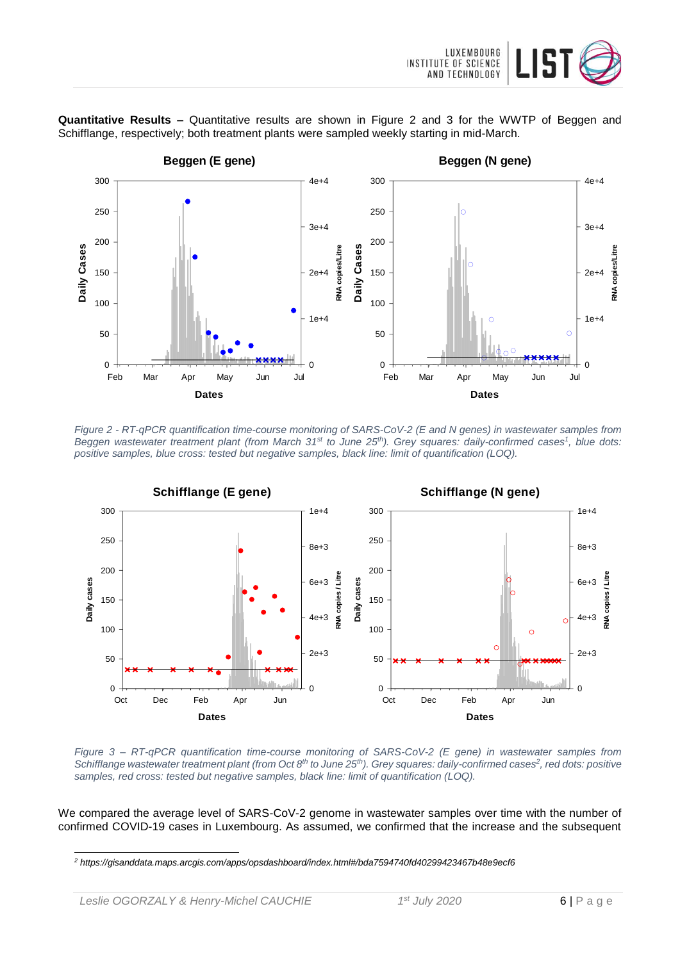

**Quantitative Results –** Quantitative results are shown in Figure 2 and 3 for the WWTP of Beggen and Schifflange, respectively; both treatment plants were sampled weekly starting in mid-March.



*Figure 2 - RT-qPCR quantification time-course monitoring of SARS-CoV-2 (E and N genes) in wastewater samples from Beggen wastewater treatment plant (from March 31st to June 25th). Grey squares: daily-confirmed cases<sup>1</sup> , blue dots: positive samples, blue cross: tested but negative samples, black line: limit of quantification (LOQ).*



*Figure 3 – RT-qPCR quantification time-course monitoring of SARS-CoV-2 (E gene) in wastewater samples from Schifflange wastewater treatment plant (from Oct 8th to June 25th). Grey squares: daily-confirmed cases<sup>2</sup> , red dots: positive samples, red cross: tested but negative samples, black line: limit of quantification (LOQ).*

We compared the average level of SARS-CoV-2 genome in wastewater samples over time with the number of confirmed COVID-19 cases in Luxembourg. As assumed, we confirmed that the increase and the subsequent

l

*<sup>2</sup> https://gisanddata.maps.arcgis.com/apps/opsdashboard/index.html#/bda7594740fd40299423467b48e9ecf6*